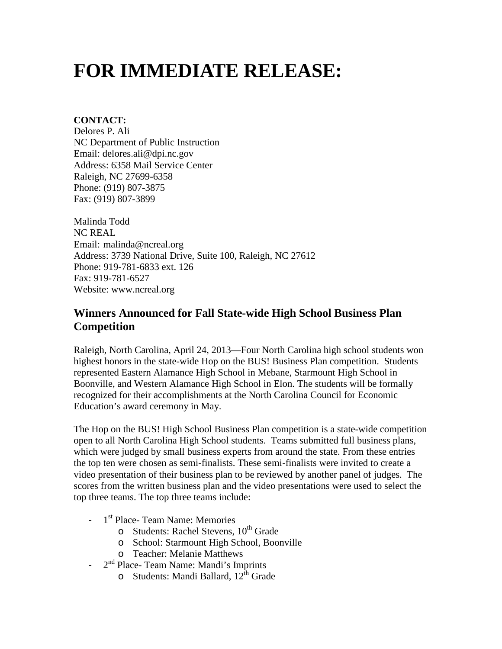## **FOR IMMEDIATE RELEASE:**

## **CONTACT:**

Delores P. Ali NC Department of Public Instruction Email: delores.ali@dpi.nc.gov Address: 6358 Mail Service Center Raleigh, NC 27699-6358 Phone: (919) 807-3875 Fax: (919) 807-3899

Malinda Todd NC REAL Email: malinda@ncreal.org Address: 3739 National Drive, Suite 100, Raleigh, NC 27612 Phone: 919-781-6833 ext. 126 Fax: 919-781-6527 Website: www.ncreal.org

## **Winners Announced for Fall State-wide High School Business Plan Competition**

Raleigh, North Carolina, April 24, 2013—Four North Carolina high school students won highest honors in the state-wide Hop on the BUS! Business Plan competition. Students represented Eastern Alamance High School in Mebane, Starmount High School in Boonville, and Western Alamance High School in Elon. The students will be formally recognized for their accomplishments at the North Carolina Council for Economic Education's award ceremony in May.

The Hop on the BUS! High School Business Plan competition is a state-wide competition open to all North Carolina High School students. Teams submitted full business plans, which were judged by small business experts from around the state. From these entries the top ten were chosen as semi-finalists. These semi-finalists were invited to create a video presentation of their business plan to be reviewed by another panel of judges. The scores from the written business plan and the video presentations were used to select the top three teams. The top three teams include:

- $-1$ <sup>st</sup> Place- Team Name: Memories
	- o Students: Rachel Stevens,  $10^{th}$  Grade
	- o School: Starmount High School, Boonville
	- o Teacher: Melanie Matthews
- 2<sup>nd</sup> Place- Team Name: Mandi's Imprints
	- o Students: Mandi Ballard, 12<sup>th</sup> Grade